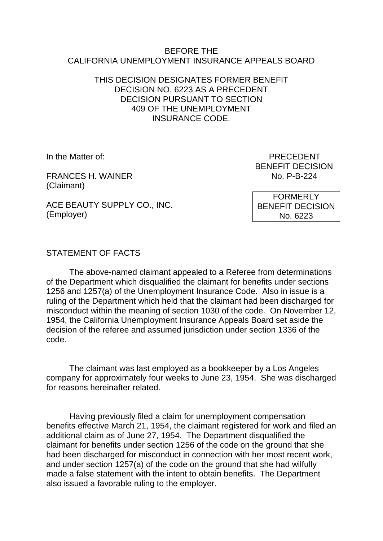### BEFORE THE CALIFORNIA UNEMPLOYMENT INSURANCE APPEALS BOARD

# THIS DECISION DESIGNATES FORMER BENEFIT DECISION NO. 6223 AS A PRECEDENT DECISION PURSUANT TO SECTION 409 OF THE UNEMPLOYMENT INSURANCE CODE.

FRANCES H. WAINER (Claimant)

In the Matter of: PRECEDENT BENEFIT DECISION<br>No. P-B-224

ACE BEAUTY SUPPLY CO., INC. (Employer)

FORMERLY BENEFIT DECISION No. 6223

# STATEMENT OF FACTS

The above-named claimant appealed to a Referee from determinations of the Department which disqualified the claimant for benefits under sections 1256 and 1257(a) of the Unemployment Insurance Code. Also in issue is a ruling of the Department which held that the claimant had been discharged for misconduct within the meaning of section 1030 of the code. On November 12, 1954, the California Unemployment Insurance Appeals Board set aside the decision of the referee and assumed jurisdiction under section 1336 of the code.

The claimant was last employed as a bookkeeper by a Los Angeles company for approximately four weeks to June 23, 1954. She was discharged for reasons hereinafter related.

Having previously filed a claim for unemployment compensation benefits effective March 21, 1954, the claimant registered for work and filed an additional claim as of June 27, 1954. The Department disqualified the claimant for benefits under section 1256 of the code on the ground that she had been discharged for misconduct in connection with her most recent work, and under section 1257(a) of the code on the ground that she had wilfully made a false statement with the intent to obtain benefits. The Department also issued a favorable ruling to the employer.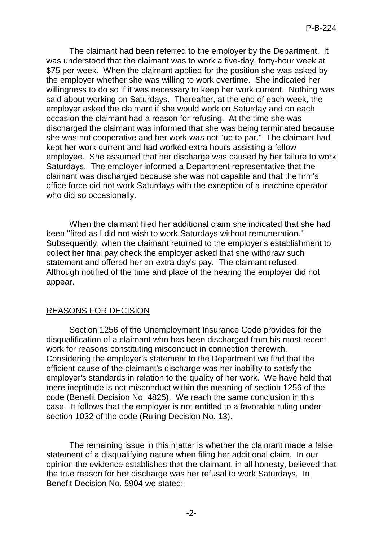The claimant had been referred to the employer by the Department. It was understood that the claimant was to work a five-day, forty-hour week at \$75 per week. When the claimant applied for the position she was asked by the employer whether she was willing to work overtime. She indicated her willingness to do so if it was necessary to keep her work current. Nothing was said about working on Saturdays. Thereafter, at the end of each week, the employer asked the claimant if she would work on Saturday and on each occasion the claimant had a reason for refusing. At the time she was discharged the claimant was informed that she was being terminated because she was not cooperative and her work was not "up to par." The claimant had kept her work current and had worked extra hours assisting a fellow employee. She assumed that her discharge was caused by her failure to work Saturdays. The employer informed a Department representative that the claimant was discharged because she was not capable and that the firm's office force did not work Saturdays with the exception of a machine operator who did so occasionally.

When the claimant filed her additional claim she indicated that she had been "fired as I did not wish to work Saturdays without remuneration." Subsequently, when the claimant returned to the employer's establishment to collect her final pay check the employer asked that she withdraw such statement and offered her an extra day's pay. The claimant refused. Although notified of the time and place of the hearing the employer did not appear.

### REASONS FOR DECISION

Section 1256 of the Unemployment Insurance Code provides for the disqualification of a claimant who has been discharged from his most recent work for reasons constituting misconduct in connection therewith. Considering the employer's statement to the Department we find that the efficient cause of the claimant's discharge was her inability to satisfy the employer's standards in relation to the quality of her work. We have held that mere ineptitude is not misconduct within the meaning of section 1256 of the code (Benefit Decision No. 4825). We reach the same conclusion in this case. It follows that the employer is not entitled to a favorable ruling under section 1032 of the code (Ruling Decision No. 13).

The remaining issue in this matter is whether the claimant made a false statement of a disqualifying nature when filing her additional claim. In our opinion the evidence establishes that the claimant, in all honesty, believed that the true reason for her discharge was her refusal to work Saturdays. In Benefit Decision No. 5904 we stated: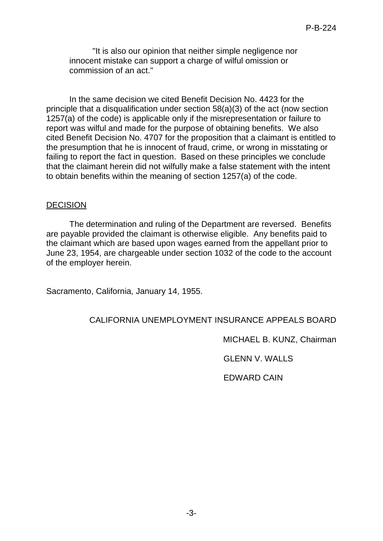"It is also our opinion that neither simple negligence nor innocent mistake can support a charge of wilful omission or commission of an act."

In the same decision we cited Benefit Decision No. 4423 for the principle that a disqualification under section 58(a)(3) of the act (now section 1257(a) of the code) is applicable only if the misrepresentation or failure to report was wilful and made for the purpose of obtaining benefits. We also cited Benefit Decision No. 4707 for the proposition that a claimant is entitled to the presumption that he is innocent of fraud, crime, or wrong in misstating or failing to report the fact in question. Based on these principles we conclude that the claimant herein did not wilfully make a false statement with the intent to obtain benefits within the meaning of section 1257(a) of the code.

### DECISION

The determination and ruling of the Department are reversed. Benefits are payable provided the claimant is otherwise eligible. Any benefits paid to the claimant which are based upon wages earned from the appellant prior to June 23, 1954, are chargeable under section 1032 of the code to the account of the employer herein.

Sacramento, California, January 14, 1955.

# CALIFORNIA UNEMPLOYMENT INSURANCE APPEALS BOARD

MICHAEL B. KUNZ, Chairman

GLENN V. WALLS

EDWARD CAIN